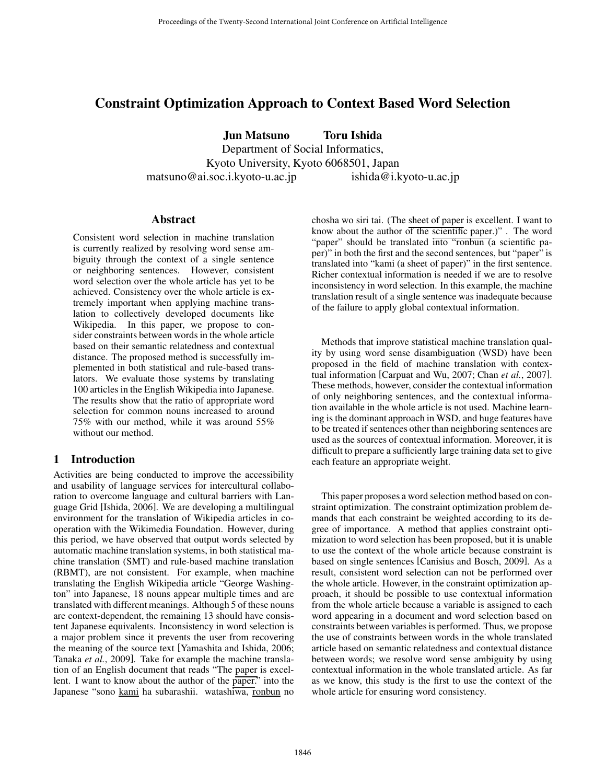# Constraint Optimization Approach to Context Based Word Selection

Jun Matsuno Toru Ishida

Department of Social Informatics, Kyoto University, Kyoto 6068501, Japan

matsuno@ai.soc.i.kyoto-u.ac.jp ishida@i.kyoto-u.ac.jp

#### **Abstract**

Consistent word selection in machine translation is currently realized by resolving word sense ambiguity through the context of a single sentence or neighboring sentences. However, consistent word selection over the whole article has yet to be achieved. Consistency over the whole article is extremely important when applying machine translation to collectively developed documents like Wikipedia. In this paper, we propose to consider constraints between words in the whole article based on their semantic relatedness and contextual distance. The proposed method is successfully implemented in both statistical and rule-based translators. We evaluate those systems by translating 100 articles in the English Wikipedia into Japanese. The results show that the ratio of appropriate word selection for common nouns increased to around 75% with our method, while it was around 55% without our method.

## 1 Introduction

Activities are being conducted to improve the accessibility and usability of language services for intercultural collaboration to overcome language and cultural barriers with Language Grid [Ishida, 2006]. We are developing a multilingual environment for the translation of Wikipedia articles in cooperation with the Wikimedia Foundation. However, during this period, we have observed that output words selected by automatic machine translation systems, in both statistical machine translation (SMT) and rule-based machine translation (RBMT), are not consistent. For example, when machine translating the English Wikipedia article "George Washington" into Japanese, 18 nouns appear multiple times and are translated with different meanings. Although 5 of these nouns are context-dependent, the remaining 13 should have consistent Japanese equivalents. Inconsistency in word selection is a major problem since it prevents the user from recovering the meaning of the source text [Yamashita and Ishida, 2006; Tanaka *et al.*, 2009]. Take for example the machine translation of an English document that reads "The paper is excellent. I want to know about the author of the paper." into the Japanese "sono kami ha subarashii. watashiwa, ronbun no chosha wo siri tai. (The sheet of paper is excellent. I want to know about the author of the scientific paper.)" . The word "paper" should be translated into "ronbun (a scientific paper)" in both the first and the second sentences, but "paper" is translated into "kami (a sheet of paper)" in the first sentence. Richer contextual information is needed if we are to resolve inconsistency in word selection. In this example, the machine translation result of a single sentence was inadequate because of the failure to apply global contextual information.

Methods that improve statistical machine translation quality by using word sense disambiguation (WSD) have been proposed in the field of machine translation with contextual information [Carpuat and Wu, 2007; Chan *et al.*, 2007]. These methods, however, consider the contextual information of only neighboring sentences, and the contextual information available in the whole article is not used. Machine learning is the dominant approach in WSD, and huge features have to be treated if sentences other than neighboring sentences are used as the sources of contextual information. Moreover, it is difficult to prepare a sufficiently large training data set to give each feature an appropriate weight.

This paper proposes a word selection method based on constraint optimization. The constraint optimization problem demands that each constraint be weighted according to its degree of importance. A method that applies constraint optimization to word selection has been proposed, but it is unable to use the context of the whole article because constraint is based on single sentences [Canisius and Bosch, 2009]. As a result, consistent word selection can not be performed over the whole article. However, in the constraint optimization approach, it should be possible to use contextual information from the whole article because a variable is assigned to each word appearing in a document and word selection based on constraints between variables is performed. Thus, we propose the use of constraints between words in the whole translated article based on semantic relatedness and contextual distance between words; we resolve word sense ambiguity by using contextual information in the whole translated article. As far as we know, this study is the first to use the context of the whole article for ensuring word consistency.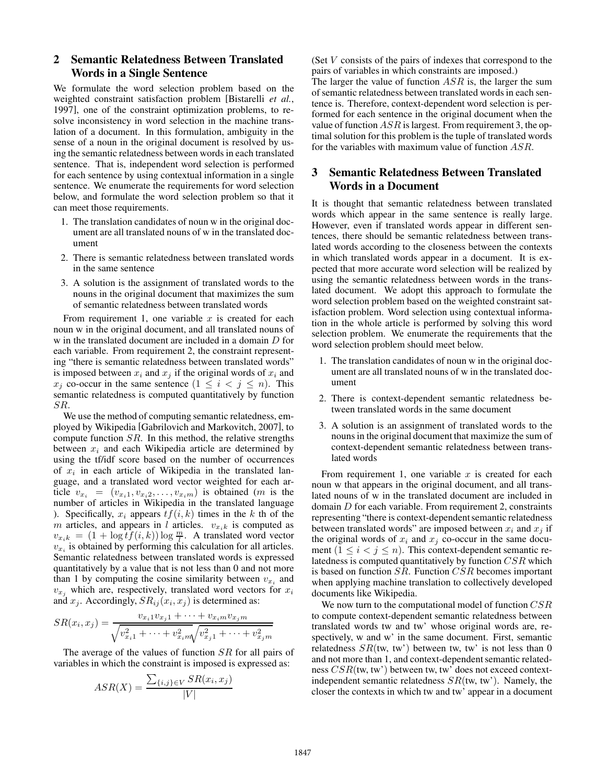## 2 Semantic Relatedness Between Translated Words in a Single Sentence

We formulate the word selection problem based on the weighted constraint satisfaction problem [Bistarelli *et al.*, 1997], one of the constraint optimization problems, to resolve inconsistency in word selection in the machine translation of a document. In this formulation, ambiguity in the sense of a noun in the original document is resolved by using the semantic relatedness between words in each translated sentence. That is, independent word selection is performed for each sentence by using contextual information in a single sentence. We enumerate the requirements for word selection below, and formulate the word selection problem so that it can meet those requirements.

- 1. The translation candidates of noun w in the original document are all translated nouns of w in the translated document
- 2. There is semantic relatedness between translated words in the same sentence
- 3. A solution is the assignment of translated words to the nouns in the original document that maximizes the sum of semantic relatedness between translated words

From requirement 1, one variable  $x$  is created for each noun w in the original document, and all translated nouns of w in the translated document are included in a domain D for each variable. From requirement 2, the constraint representing "there is semantic relatedness between translated words" is imposed between  $x_i$  and  $x_j$  if the original words of  $x_i$  and  $x_i$  co-occur in the same sentence  $(1 \le i \le j \le n)$ . This semantic relatedness is computed quantitatively by function SR.

We use the method of computing semantic relatedness, employed by Wikipedia [Gabrilovich and Markovitch, 2007], to compute function  $SR$ . In this method, the relative strengths between  $x_i$  and each Wikipedia article are determined by using the tf/idf score based on the number of occurrences of  $x_i$  in each article of Wikipedia in the translated language, and a translated word vector weighted for each article  $v_{x_i} = (v_{x_i1}, v_{x_i2}, \ldots, v_{x_im})$  is obtained (*m* is the number of articles in Wikipedia in the translated language ). Specifically,  $x_i$  appears  $tf(i, k)$  times in the k th of the m articles, and appears in l articles.  $v_{x,k}$  is computed as  $v_{x_k k} = (1 + \log t f(i, k)) \log \frac{m}{l}$ . A translated word vector  $v_{x_k}$  is obtained by performing this calculation for all articles  $v_{x_i}$  is obtained by performing this calculation for all articles. Semantic relatedness between translated words is expressed quantitatively by a value that is not less than 0 and not more than 1 by computing the cosine similarity between  $v_{x_i}$  and  $v_{x_i}$  which are, respectively, translated word vectors for  $x_i$ and  $x_j$ . Accordingly,  $SR_{ij}(x_i, x_j)$  is determined as:

$$
SR(x_i, x_j) = \frac{v_{x_i1}v_{x_j1} + \dots + v_{x_i m}v_{x_j m}}{\sqrt{v_{x_i1}^2 + \dots + v_{x_i m}^2}\sqrt{v_{x_j1}^2 + \dots + v_{x_j m}^2}}
$$

The average of the values of function SR for all pairs of variables in which the constraint is imposed is expressed as:

$$
ASR(X) = \frac{\sum_{\{i,j\} \in V} SR(x_i, x_j)}{|V|}
$$

(Set V consists of the pairs of indexes that correspond to the pairs of variables in which constraints are imposed.) The larger the value of function  $ASR$  is, the larger the sum of semantic relatedness between translated words in each sentence is. Therefore, context-dependent word selection is performed for each sentence in the original document when the value of function  $ASR$  is largest. From requirement 3, the optimal solution for this problem is the tuple of translated words for the variables with maximum value of function ASR.

### 3 Semantic Relatedness Between Translated Words in a Document

It is thought that semantic relatedness between translated words which appear in the same sentence is really large. However, even if translated words appear in different sentences, there should be semantic relatedness between translated words according to the closeness between the contexts in which translated words appear in a document. It is expected that more accurate word selection will be realized by using the semantic relatedness between words in the translated document. We adopt this approach to formulate the word selection problem based on the weighted constraint satisfaction problem. Word selection using contextual information in the whole article is performed by solving this word selection problem. We enumerate the requirements that the word selection problem should meet below.

- 1. The translation candidates of noun w in the original document are all translated nouns of w in the translated document
- 2. There is context-dependent semantic relatedness between translated words in the same document
- 3. A solution is an assignment of translated words to the nouns in the original document that maximize the sum of context-dependent semantic relatedness between translated words

From requirement 1, one variable  $x$  is created for each noun w that appears in the original document, and all translated nouns of w in the translated document are included in domain D for each variable. From requirement 2, constraints representing "there is context-dependent semantic relatedness between translated words" are imposed between  $x_i$  and  $x_j$  if the original words of  $x_i$  and  $x_j$  co-occur in the same document  $(1 \le i < j \le n)$ . This context-dependent semantic relatedness is computed quantitatively by function CSR which is based on function  $SR$ . Function  $CSR$  becomes important when applying machine translation to collectively developed documents like Wikipedia.

We now turn to the computational model of function  $CSR$ to compute context-dependent semantic relatedness between translated words tw and tw' whose original words are, respectively, w and w' in the same document. First, semantic relatedness  $SR(tw, tw')$  between tw, tw' is not less than 0 and not more than 1, and context-dependent semantic relatedness CSR(tw, tw') between tw, tw' does not exceed contextindependent semantic relatedness  $SR(tw, tw')$ . Namely, the closer the contexts in which tw and tw' appear in a document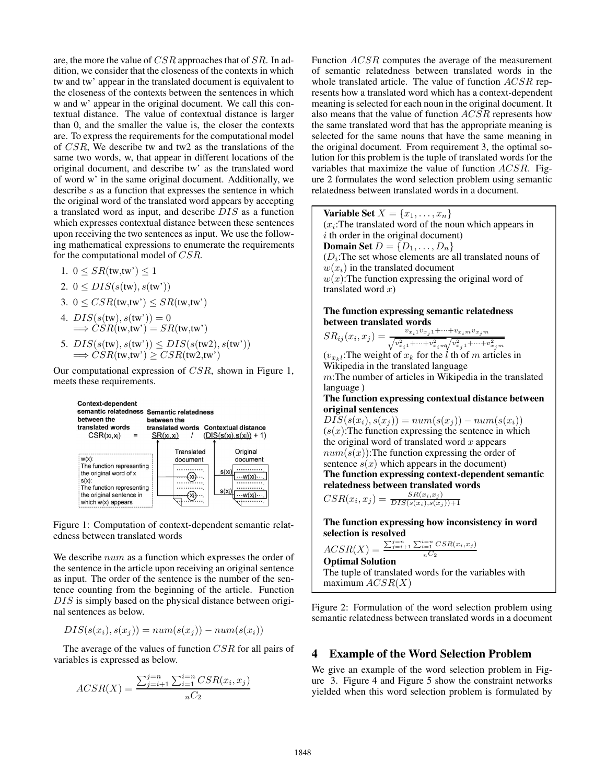are, the more the value of CSR approaches that of SR. In addition, we consider that the closeness of the contexts in which tw and tw' appear in the translated document is equivalent to the closeness of the contexts between the sentences in which w and w' appear in the original document. We call this contextual distance. The value of contextual distance is larger than 0, and the smaller the value is, the closer the contexts are. To express the requirements for the computational model of CSR, We describe tw and tw2 as the translations of the same two words, w, that appear in different locations of the original document, and describe tw' as the translated word of word w' in the same original document. Additionally, we describe s as a function that expresses the sentence in which the original word of the translated word appears by accepting a translated word as input, and describe DIS as a function which expresses contextual distance between these sentences upon receiving the two sentences as input. We use the following mathematical expressions to enumerate the requirements for the computational model of CSR.

- 1.  $0 \leq SR(tw,tw') \leq 1$
- 2.  $0 \leq DIS(s(tw), s(tw'))$
- 3.  $0 \leq CSR(tw,tw') \leq SR(tw,tw')$
- 4.  $DIS(s(tw), s(tw')) = 0$  $\Rightarrow$  CSR(tw,tw') = SR(tw,tw')
- 5.  $DIS(s(tw), s(tw')) \leq DIS(s(tw2), s(tw'))$  $\Rightarrow \overrightarrow{CSR}(\overrightarrow{tw},\overrightarrow{tw'}) > \overrightarrow{CSR}(\overrightarrow{tw2},\overrightarrow{tw'})$

Our computational expression of CSR, shown in Figure 1, meets these requirements.



Figure 1: Computation of context-dependent semantic relatedness between translated words

We describe  $num$  as a function which expresses the order of the sentence in the article upon receiving an original sentence as input. The order of the sentence is the number of the sentence counting from the beginning of the article. Function DIS is simply based on the physical distance between original sentences as below.

$$
DIS(s(x_i), s(x_j)) = num(s(x_j)) - num(s(x_i))
$$

The average of the values of function CSR for all pairs of variables is expressed as below.

$$
ACSR(X) = \frac{\sum_{j=i+1}^{j=n} \sum_{i=1}^{i=n} CSR(x_i, x_j)}{nC_2}
$$

Function ACSR computes the average of the measurement of semantic relatedness between translated words in the whole translated article. The value of function  $ACSR$  represents how a translated word which has a context-dependent meaning is selected for each noun in the original document. It also means that the value of function ACSR represents how the same translated word that has the appropriate meaning is selected for the same nouns that have the same meaning in the original document. From requirement 3, the optimal solution for this problem is the tuple of translated words for the variables that maximize the value of function ACSR. Figure 2 formulates the word selection problem using semantic relatedness between translated words in a document.

Variable Set  $X = \{x_1, \ldots, x_n\}$  $(x<sub>i</sub>:)$ : The translated word of the noun which appears in  $i$  th order in the original document) **Domain Set**  $D = \{D_1, \ldots, D_n\}$  $(D<sub>i</sub>:$ The set whose elements are all translated nouns of  $w(x_i)$  in the translated document  $w(x)$ : The function expressing the original word of translated word  $x)$ 

The function expressing semantic relatedness between translated words

$$
SR_{ij}(x_i, x_j) = \frac{v_{x_i1}v_{x_j1} + \dots + v_{x_i m}v_{x_j m}}{\sqrt{v_{x_i1}^2 + \dots + v_{x_i m}^2}\sqrt{v_{x_j1}^2 + \dots + v_{x_j m}^2}}
$$

 $(v_{x_k})$ : The weight of  $x_k$  for the l th of m articles in Wikipedia in the translated language

m:The number of articles in Wikipedia in the translated language )

The function expressing contextual distance between original sentences

 $DIS(s(x_i), s(x_j)) = num(s(x_j)) - num(s(x_i))$  $(s(x))$ : The function expressing the sentence in which the original word of translated word  $x$  appears  $num(s(x))$ : The function expressing the order of sentence  $s(x)$  which appears in the document) The function expressing context-dependent semantic relatedness between translated words  $CSR(x_i, x_j) = \frac{SR(x_i, x_j)}{DIS(s(x_i), s(x_j))+1}$ 

The function expressing how inconsistency in word selection is resolved

 $ACSR(X) = \frac{\sum_{j=i+1}^{j=n} \sum_{i=1}^{i=n} CSR(x_i, x_j)}{nC_2}$ <br>Ontimal Solution  $nC_2$ 

Optimal Solution The tuple of translated words for the variables with maximum  $ACSR(X)$ 

Figure 2: Formulation of the word selection problem using semantic relatedness between translated words in a document

### 4 Example of the Word Selection Problem

We give an example of the word selection problem in Figure 3. Figure 4 and Figure 5 show the constraint networks yielded when this word selection problem is formulated by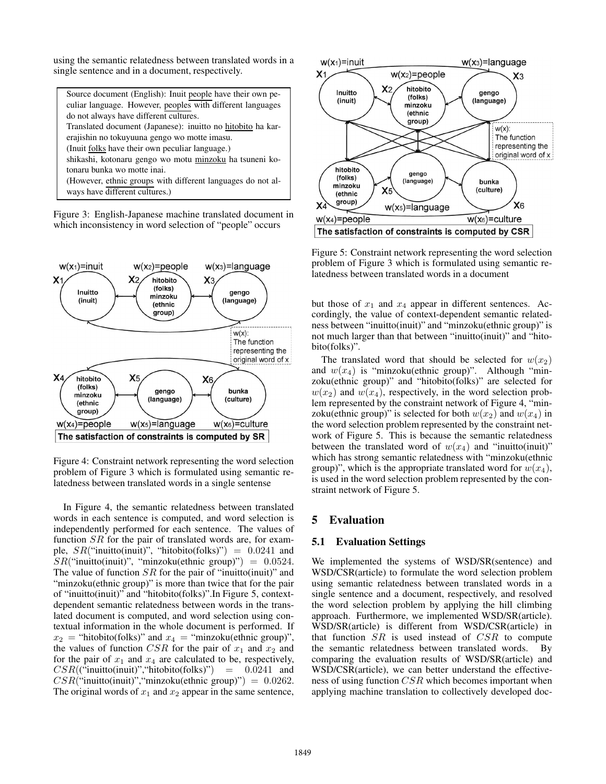using the semantic relatedness between translated words in a single sentence and in a document, respectively.

Source document (English): Inuit people have their own peculiar language. However, peoples with different languages do not always have different cultures. Translated document (Japanese): inuitto no hitobito ha karerajishin no tokuyuuna gengo wo motte imasu. (Inuit folks have their own peculiar language.) shikashi, kotonaru gengo wo motu minzoku ha tsuneni kotonaru bunka wo motte inai. (However, ethnic groups with different languages do not always have different cultures.)

Figure 3: English-Japanese machine translated document in which inconsistency in word selection of "people" occurs



Figure 4: Constraint network representing the word selection problem of Figure 3 which is formulated using semantic relatedness between translated words in a single sentense

In Figure 4, the semantic relatedness between translated words in each sentence is computed, and word selection is independently performed for each sentence. The values of function SR for the pair of translated words are, for example,  $SR("inuitto (inuit)", "hitobito(folks)") = 0.0241$  and  $SR("inuito (inuit)", "minzoku(ethnic group") = 0.0524.$ The value of function  $SR$  for the pair of "inuitto(inuit)" and "minzoku(ethnic group)" is more than twice that for the pair of "inuitto(inuit)" and "hitobito(folks)".In Figure 5, contextdependent semantic relatedness between words in the translated document is computed, and word selection using contextual information in the whole document is performed. If  $x_2$  = "hitobito(folks)" and  $x_4$  = "minzoku(ethnic group)", the values of function CSR for the pair of  $x_1$  and  $x_2$  and for the pair of  $x_1$  and  $x_4$  are calculated to be, respectively,  $CSR((``inuitto(inuit)",``hitobito(folks))") = 0.0241$  and  $CSR("inuito(inuit)", "minzoku(ethnic group)")=0.0262.$ The original words of  $x_1$  and  $x_2$  appear in the same sentence,



Figure 5: Constraint network representing the word selection problem of Figure 3 which is formulated using semantic relatedness between translated words in a document

but those of  $x_1$  and  $x_4$  appear in different sentences. Accordingly, the value of context-dependent semantic relatedness between "inuitto(inuit)" and "minzoku(ethnic group)" is not much larger than that between "inuitto(inuit)" and "hitobito(folks)".

The translated word that should be selected for  $w(x_2)$ and  $w(x_4)$  is "minzoku(ethnic group)". Although "minzoku(ethnic group)" and "hitobito(folks)" are selected for  $w(x_2)$  and  $w(x_4)$ , respectively, in the word selection problem represented by the constraint network of Figure 4, "minzoku(ethnic group)" is selected for both  $w(x_2)$  and  $w(x_4)$  in the word selection problem represented by the constraint network of Figure 5. This is because the semantic relatedness between the translated word of  $w(x_4)$  and "inuitto(inuit)" which has strong semantic relatedness with "minzoku(ethnic group)", which is the appropriate translated word for  $w(x_4)$ , is used in the word selection problem represented by the constraint network of Figure 5.

### 5 Evaluation

#### 5.1 Evaluation Settings

We implemented the systems of WSD/SR(sentence) and WSD/CSR(article) to formulate the word selection problem using semantic relatedness between translated words in a single sentence and a document, respectively, and resolved the word selection problem by applying the hill climbing approach. Furthermore, we implemented WSD/SR(article). WSD/SR(article) is different from WSD/CSR(article) in that function  $SR$  is used instead of  $CSR$  to compute the semantic relatedness between translated words. By comparing the evaluation results of WSD/SR(article) and WSD/CSR(article), we can better understand the effectiveness of using function CSR which becomes important when applying machine translation to collectively developed doc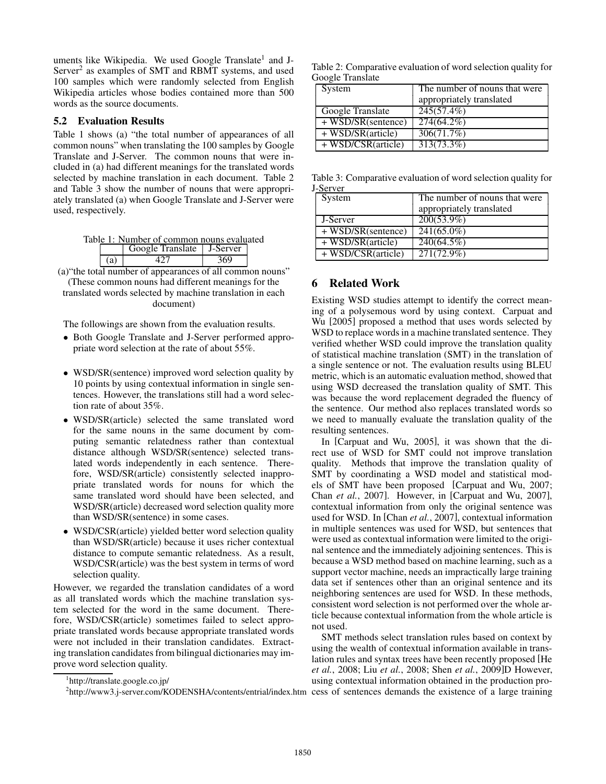uments like Wikipedia. We used Google Translate<sup>1</sup> and J-Server<sup>2</sup> as examples of SMT and RBMT systems, and used 100 samples which were randomly selected from English Wikipedia articles whose bodies contained more than 500 words as the source documents.

#### 5.2 Evaluation Results

Table 1 shows (a) "the total number of appearances of all common nouns" when translating the 100 samples by Google Translate and J-Server. The common nouns that were included in (a) had different meanings for the translated words selected by machine translation in each document. Table 2 and Table 3 show the number of nouns that were appropriately translated (a) when Google Translate and J-Server were used, respectively.

|  | Table 1: Number of common nouns evaluated |  |
|--|-------------------------------------------|--|
|  | $\log$ Google Translate   J-Server        |  |

|  | OUVER Hanslaw | J-YU VU |  |
|--|---------------|---------|--|
|  |               |         |  |

(a)"the total number of appearances of all common nouns" (These common nouns had different meanings for the

translated words selected by machine translation in each document)

The followings are shown from the evaluation results.

- Both Google Translate and J-Server performed appropriate word selection at the rate of about 55%.
- WSD/SR(sentence) improved word selection quality by 10 points by using contextual information in single sentences. However, the translations still had a word selection rate of about 35%.
- WSD/SR(article) selected the same translated word for the same nouns in the same document by computing semantic relatedness rather than contextual distance although WSD/SR(sentence) selected translated words independently in each sentence. Therefore, WSD/SR(article) consistently selected inappropriate translated words for nouns for which the same translated word should have been selected, and WSD/SR(article) decreased word selection quality more than WSD/SR(sentence) in some cases.
- WSD/CSR(article) yielded better word selection quality than WSD/SR(article) because it uses richer contextual distance to compute semantic relatedness. As a result, WSD/CSR(article) was the best system in terms of word selection quality.

However, we regarded the translation candidates of a word as all translated words which the machine translation system selected for the word in the same document. Therefore, WSD/CSR(article) sometimes failed to select appropriate translated words because appropriate translated words were not included in their translation candidates. Extracting translation candidates from bilingual dictionaries may improve word selection quality.

Table 2: Comparative evaluation of word selection quality for Google Translate

| System                                             | The number of nouns that were<br>appropriately translated |
|----------------------------------------------------|-----------------------------------------------------------|
| Google Translate                                   | 245(57.4%)                                                |
| + WSD/SR(sentence)                                 | 274(64.2%)                                                |
| $+\overline{\text{WSD}}/\text{SR}(\text{article})$ | 306(71.7%)                                                |
| + WSD/CSR(article)                                 | 313(73.3%)                                                |

Table 3: Comparative evaluation of word selection quality for J-Server

| System                         | The number of nouns that were |
|--------------------------------|-------------------------------|
|                                | appropriately translated      |
| J-Server                       | $200(53.9\%)$                 |
| $\overline{+$ WSD/SR(sentence) | $241(65.0\%)$                 |
| + WSD/SR(article)              | 240(64.5%)                    |
| + WSD/CSR(article)             | 271(72.9%)                    |

## 6 Related Work

Existing WSD studies attempt to identify the correct meaning of a polysemous word by using context. Carpuat and Wu [2005] proposed a method that uses words selected by WSD to replace words in a machine translated sentence. They verified whether WSD could improve the translation quality of statistical machine translation (SMT) in the translation of a single sentence or not. The evaluation results using BLEU metric, which is an automatic evaluation method, showed that using WSD decreased the translation quality of SMT. This was because the word replacement degraded the fluency of the sentence. Our method also replaces translated words so we need to manually evaluate the translation quality of the resulting sentences.

In [Carpuat and Wu, 2005], it was shown that the direct use of WSD for SMT could not improve translation quality. Methods that improve the translation quality of SMT by coordinating a WSD model and statistical models of SMT have been proposed [Carpuat and Wu, 2007; Chan *et al.*, 2007]. However, in [Carpuat and Wu, 2007], contextual information from only the original sentence was used for WSD. In [Chan *et al.*, 2007], contextual information in multiple sentences was used for WSD, but sentences that were used as contextual information were limited to the original sentence and the immediately adjoining sentences. This is because a WSD method based on machine learning, such as a support vector machine, needs an impractically large training data set if sentences other than an original sentence and its neighboring sentences are used for WSD. In these methods, consistent word selection is not performed over the whole article because contextual information from the whole article is not used.

SMT methods select translation rules based on context by using the wealth of contextual information available in translation rules and syntax trees have been recently proposed [He *et al.*, 2008; Liu *et al.*, 2008; Shen *et al.*, 2009]D However, using contextual information obtained in the production pro-

<sup>1</sup> http://translate.google.co.jp/

<sup>&</sup>lt;sup>2</sup>http://www3.j-server.com/KODENSHA/contents/entrial/index.htm cess of sentences demands the existence of a large training